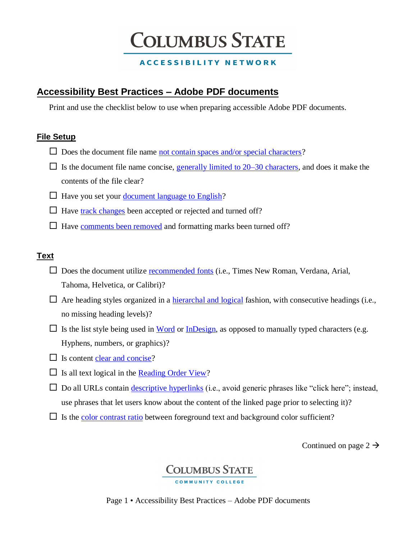## **COLUMBUS STATE**

### **ACCESSIBILITY NETWORK**

### **Accessibility Best Practices – Adobe PDF documents**

Print and use the checklist below to use when preparing accessible Adobe PDF documents.

### **File Setup**

- $\square$  Does the document file name [not contain spaces and/or special characters?](https://www.nist.gov/sites/default/files/documents/pml/wmd/labmetrology/ElectronicFileOrganizationTips-2016-03.pdf)
- $\Box$  Is the document file name concise, [generally limited to 20–30 characters,](https://www.nist.gov/sites/default/files/documents/pml/wmd/labmetrology/ElectronicFileOrganizationTips-2016-03.pdf) and does it make the contents of the file clear?
- $\Box$  Have you set your [document language to English?](http://www.adobe.com/accessibility/products/acrobat/pdf-repair-set-document-language.html)
- $\Box$  Have [track changes](https://helpx.adobe.com/acrobat/using/tracking-pdf-reviews.html) been accepted or rejected and turned off?
- $\Box$  Have [comments been removed](https://helpx.adobe.com/acrobat/using/comments.html) and formatting marks been turned off?

### **Text**

- $\square$  Does the document utilize [recommended fonts](https://helpx.adobe.com/acrobat/using/edit-text-pdfs.html) (i.e., Times New Roman, Verdana, Arial, Tahoma, Helvetica, or Calibri)?
- $\Box$  Are heading styles organized in a [hierarchal and logical](http://www.adobe.com/accessibility/products/acrobat/pdf-repair-repair-tags.html) fashion, with consecutive headings (i.e., no missing heading levels)?
- $\Box$  Is the list style being used in [Word](https://support.office.com/en-us/article/Create-a-bulleted-or-numbered-list-9ff81241-58a8-4d88-8d8c-acab3006a23e) or [InDesign,](https://helpx.adobe.com/indesign/using/bullets-numbering.html) as opposed to manually typed characters (e.g. Hyphens, numbers, or graphics)?
- $\Box$  Is content [clear and concise?](https://www.w3.org/WAI/gettingstarted/tips/writing.html#keep-content-clear-and-concise)
- $\Box$  Is all text logical in the <u>Reading Order View</u>?
- $\square$  Do all URLs contain [descriptive hyperlinks](https://www.w3.org/WAI/gettingstarted/tips/writing.html#make-link-text-meaningful) (i.e., avoid generic phrases like "click here"; instead, use phrases that let users know about the content of the linked page prior to selecting it)?
- $\Box$  Is the [color contrast ratio](https://www.paciellogroup.com/resources/contrastanalyser/) between foreground text and background color sufficient?

Continued on page 2  $\rightarrow$ 

## **COLUMBUS STATE**

Page 1 • Accessibility Best Practices – Adobe PDF documents